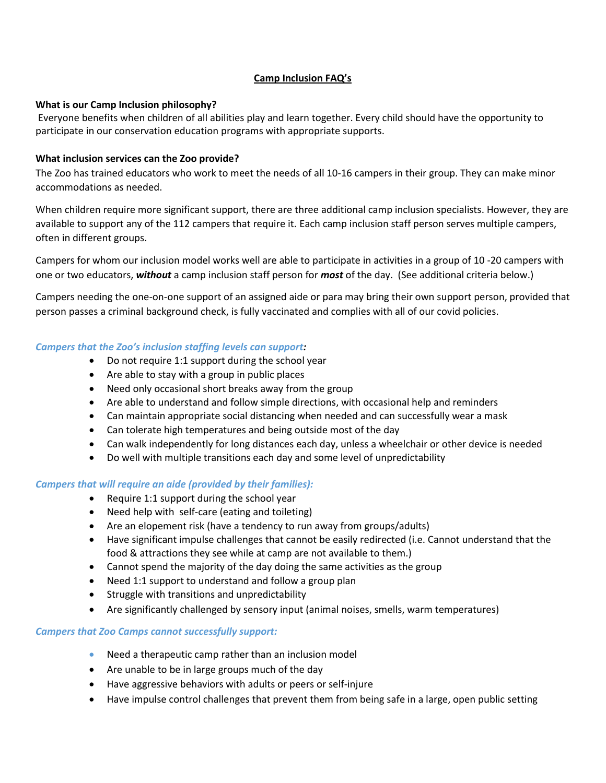# **Camp Inclusion FAQ's**

### **What is our Camp Inclusion philosophy?**

Everyone benefits when children of all abilities play and learn together. Every child should have the opportunity to participate in our conservation education programs with appropriate supports.

# **What inclusion services can the Zoo provide?**

The Zoo has trained educators who work to meet the needs of all 10-16 campers in their group. They can make minor accommodations as needed.

When children require more significant support, there are three additional camp inclusion specialists. However, they are available to support any of the 112 campers that require it. Each camp inclusion staff person serves multiple campers, often in different groups.

Campers for whom our inclusion model works well are able to participate in activities in a group of 10 -20 campers with one or two educators, *without* a camp inclusion staff person for *most* of the day. (See additional criteria below.)

Campers needing the one-on-one support of an assigned aide or para may bring their own support person, provided that person passes a criminal background check, is fully vaccinated and complies with all of our covid policies.

# *Campers that the Zoo's inclusion staffing levels can support:*

- Do not require 1:1 support during the school year
- Are able to stay with a group in public places
- Need only occasional short breaks away from the group
- Are able to understand and follow simple directions, with occasional help and reminders
- Can maintain appropriate social distancing when needed and can successfully wear a mask
- Can tolerate high temperatures and being outside most of the day
- Can walk independently for long distances each day, unless a wheelchair or other device is needed
- Do well with multiple transitions each day and some level of unpredictability

### *Campers that will require an aide (provided by their families):*

- Require 1:1 support during the school year
- Need help with self-care (eating and toileting)
- Are an elopement risk (have a tendency to run away from groups/adults)
- Have significant impulse challenges that cannot be easily redirected (i.e. Cannot understand that the food & attractions they see while at camp are not available to them.)
- Cannot spend the majority of the day doing the same activities as the group
- Need 1:1 support to understand and follow a group plan
- Struggle with transitions and unpredictability
- Are significantly challenged by sensory input (animal noises, smells, warm temperatures)

### *Campers that Zoo Camps cannot successfully support:*

- Need a therapeutic camp rather than an inclusion model
- Are unable to be in large groups much of the day
- Have aggressive behaviors with adults or peers or self-injure
- Have impulse control challenges that prevent them from being safe in a large, open public setting